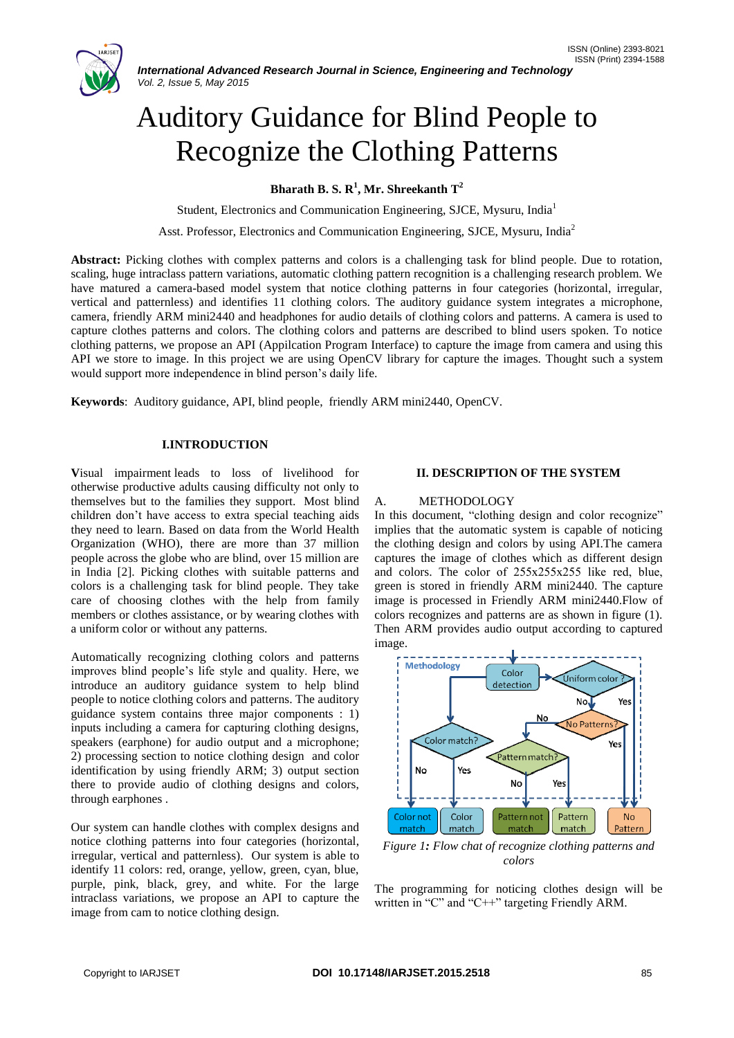# Auditory Guidance for Blind People to Recognize the Clothing Patterns

**Bharath B. S. R<sup>1</sup> , Mr. Shreekanth T<sup>2</sup>**

Student, Electronics and Communication Engineering, SJCE, Mysuru, India<sup>1</sup>

Asst. Professor, Electronics and Communication Engineering, SJCE, Mysuru, India<sup>2</sup>

**Abstract:** Picking clothes with complex patterns and colors is a challenging task for blind people. Due to rotation, scaling, huge intraclass pattern variations, automatic clothing pattern recognition is a challenging research problem. We have matured a camera-based model system that notice clothing patterns in four categories (horizontal, irregular, vertical and patternless) and identifies 11 clothing colors. The auditory guidance system integrates a microphone, camera, friendly ARM mini2440 and headphones for audio details of clothing colors and patterns. A camera is used to capture clothes patterns and colors. The clothing colors and patterns are described to blind users spoken. To notice clothing patterns, we propose an API (Appilcation Program Interface) to capture the image from camera and using this API we store to image. In this project we are using OpenCV library for capture the images. Thought such a system would support more independence in blind person's daily life.

**Keywords**: Auditory guidance, API, blind people, friendly ARM mini2440, OpenCV.

## **I.INTRODUCTION**

**V**isual impairment leads to loss of livelihood for otherwise productive adults causing difficulty not only to themselves but to the families they support. Most blind children don't have access to extra special teaching aids they need to learn. Based on data from the World Health Organization (WHO), there are more than 37 million people across the globe who are blind, over 15 million are in India [2]. Picking clothes with suitable patterns and colors is a challenging task for blind people. They take care of choosing clothes with the help from family members or clothes assistance, or by wearing clothes with a uniform color or without any patterns.

Automatically recognizing clothing colors and patterns improves blind people's life style and quality. Here, we introduce an auditory guidance system to help blind people to notice clothing colors and patterns. The auditory guidance system contains three major components : 1) inputs including a camera for capturing clothing designs, speakers (earphone) for audio output and a microphone; 2) processing section to notice clothing design and color identification by using friendly ARM; 3) output section there to provide audio of clothing designs and colors, through earphones .

Our system can handle clothes with complex designs and notice clothing patterns into four categories (horizontal, irregular, vertical and patternless). Our system is able to identify 11 colors: red, orange, yellow, green, cyan, blue, purple, pink, black, grey, and white. For the large intraclass variations, we propose an API to capture the image from cam to notice clothing design.

## **II. DESCRIPTION OF THE SYSTEM**

## A. METHODOLOGY

In this document, "clothing design and color recognize" implies that the automatic system is capable of noticing the clothing design and colors by using API.The camera captures the image of clothes which as different design and colors. The color of 255х255х255 like red, blue, green is stored in friendly ARM mini2440. The capture image is processed in Friendly ARM mini2440.Flow of colors recognizes and patterns are as shown in figure (1). Then ARM provides audio output according to captured image.



*Figure 1: Flow chat of recognize clothing patterns and colors*

The programming for noticing clothes design will be written in "C" and "C++" targeting Friendly ARM.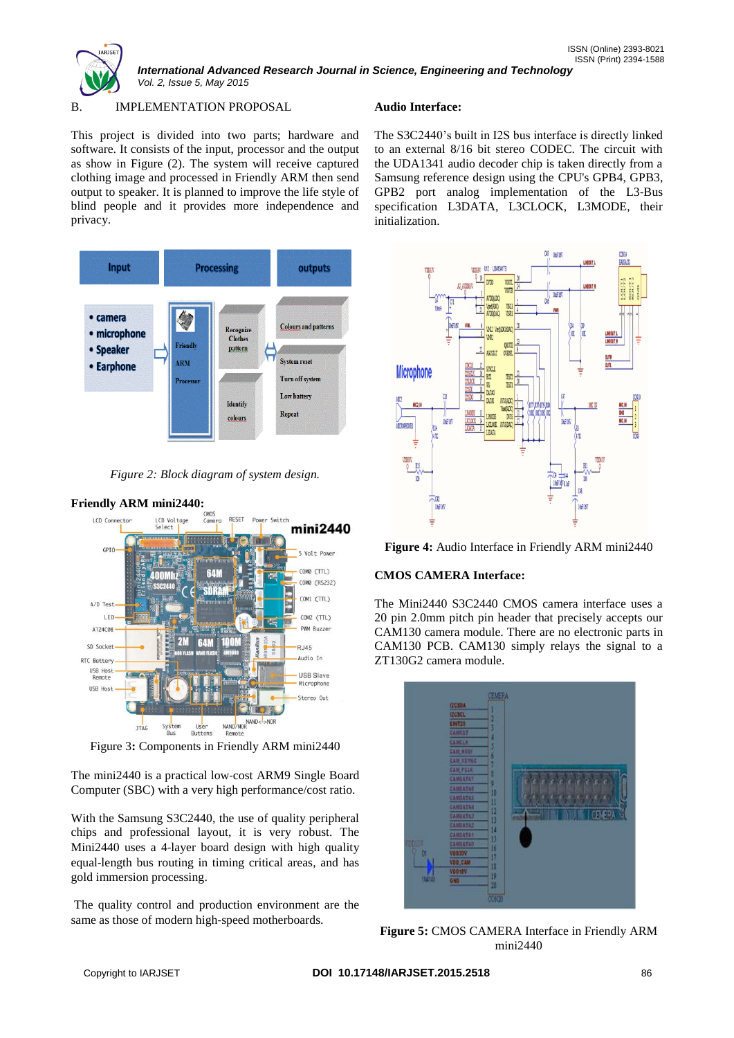

*International Advanced Research Journal in Science, Engineering and Technology Vol. 2, Issue 5, May 2015*

# B. IMPLEMENTATION PROPOSAL

This project is divided into two parts; hardware and software. It consists of the input, processor and the output as show in Figure (2). The system will receive captured clothing image and processed in Friendly ARM then send output to speaker. It is planned to improve the life style of blind people and it provides more independence and privacy.



*Figure 2: Block diagram of system design.*

**Friendly ARM mini2440:**



Figure 3**:** Components in Friendly ARM mini2440

The mini2440 is a practical low‐cost ARM9 Single Board Computer (SBC) with a very high performance/cost ratio.

With the Samsung S3C2440, the use of quality peripheral chips and professional layout, it is very robust. The Mini2440 uses a 4‐layer board design with high quality equal‐length bus routing in timing critical areas, and has gold immersion processing.

The quality control and production environment are the same as those of modern high-speed motherboards.

# **Audio Interface:**

The S3C2440's built in I2S bus interface is directly linked to an external 8/16 bit stereo CODEC. The circuit with the UDA1341 audio decoder chip is taken directly from a Samsung reference design using the CPU's GPB4, GPB3, GPB2 port analog implementation of the L3‐Bus specification L3DATA, L3CLOCK, L3MODE, their initialization.





# **CMOS CAMERA Interface:**

The Mini2440 S3C2440 CMOS camera interface uses a 20 pin 2.0mm pitch pin header that precisely accepts our CAM130 camera module. There are no electronic parts in CAM130 PCB. CAM130 simply relays the signal to a ZT130G2 camera module.



**Figure 5:** CMOS CAMERA Interface in Friendly ARM mini2440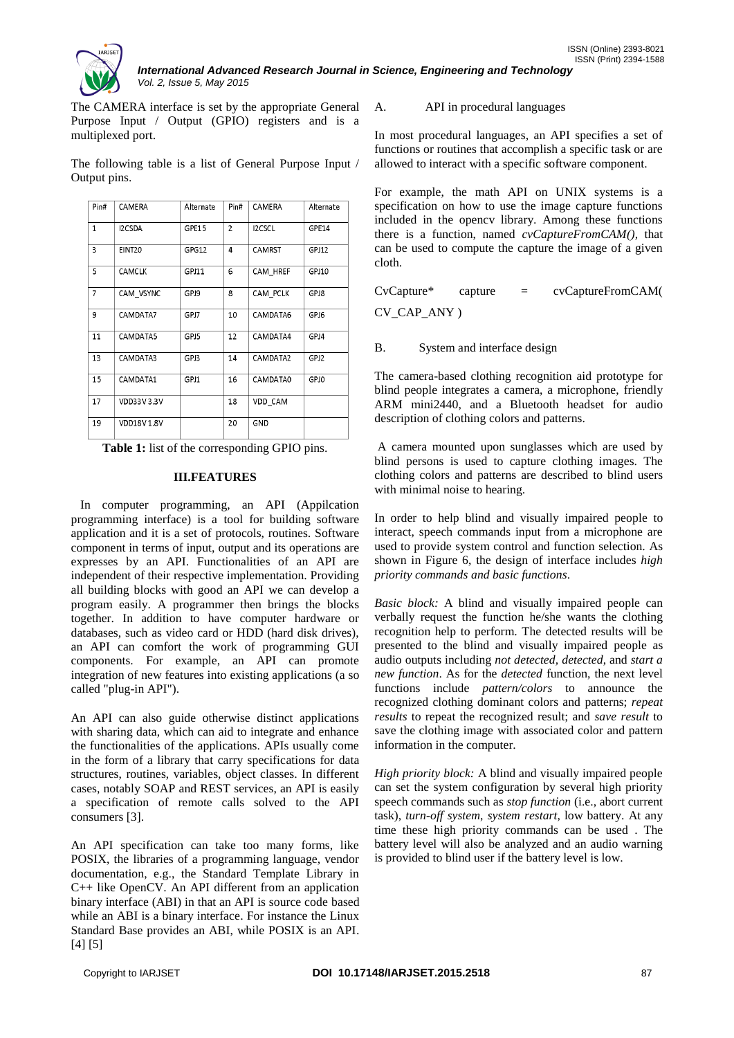

*International Advanced Research Journal in Science, Engineering and Technology Vol. 2, Issue 5, May 2015*

The CAMERA interface is set by the appropriate General Purpose Input / Output (GPIO) registers and is a multiplexed port.

The following table is a list of General Purpose Input / Output pins.

| Pin#         | CAMERA            | Alternate | Pin#           | CAMERA   | Alternate |
|--------------|-------------------|-----------|----------------|----------|-----------|
| $\mathbf{1}$ | I2CSDA            | GPE15     | $\overline{2}$ | I2CSCL   | GPE14     |
| 3            | EINT20            | GPG12     | 4              | CAMRST   | GPJ12     |
| 5            | CAMCLK            | GPJ11     | 6              | CAM_HREF | GPJ10     |
| 7            | CAM VSYNC         | GPJ9      | 8              | CAM PCLK | GPJ8      |
| 9            | CAMDATA7          | GPJ7      | 10             | CAMDATA6 | GPJ6      |
| 11           | CAMDATA5          | GPJ5      | 12             | CAMDATA4 | GPJ4      |
| 13           | CAMDATA3          | GPJ3      | 14             | CAMDATA2 | GPJ2      |
| 15           | CAMDATA1          | GPJ1      | 16             | CAMDATA0 | GPJ0      |
| 17           | VDD33V3.3V        |           | 18             | VDD CAM  |           |
| 19           | <b>VDD18V1.8V</b> |           | 20             | GND      |           |

**Table 1:** list of the corresponding GPIO pins.

## **III.FEATURES**

 In computer programming, an API (Appilcation programming interface) is a tool for building software application and it is a set of protocols, routines. Software component in terms of input, output and its operations are expresses by an API. Functionalities of an API are independent of their respective implementation. Providing all building blocks with good an API we can develop a program easily. A programmer then brings the blocks together. In addition to have computer hardware or databases, such as video card or HDD (hard disk drives), an API can comfort the work of programming GUI components. For example, an API can promote integration of new features into existing applications (a so called "plug-in API").

An API can also guide otherwise distinct applications with sharing data, which can aid to integrate and enhance the functionalities of the applications. APIs usually come in the form of a library that carry specifications for data structures, routines, variables, object classes. In different cases, notably SOAP and REST services, an API is easily a specification of remote calls solved to the API consumers [3].

An API specification can take too many forms, like POSIX, the libraries of a programming language, vendor documentation, e.g., the Standard Template Library in C++ like OpenCV. An API different from an application binary interface (ABI) in that an API is source code based while an ABI is a binary interface. For instance the Linux Standard Base provides an ABI, while POSIX is an API. [4] [5]

## A. API in procedural languages

In most procedural languages, an API specifies a set of functions or routines that accomplish a specific task or are allowed to interact with a specific software component.

For example, the math API on UNIX systems is a specification on how to use the image capture functions included in the opencv library. Among these functions there is a function, named *cvCaptureFromCAM(),* that can be used to compute the capture the image of a given cloth.

| $CvCapture*$ | capture | $=$ | cvCaptureFromCAM( |
|--------------|---------|-----|-------------------|
| CV_CAP_ANY)  |         |     |                   |

B. System and interface design

The camera-based clothing recognition aid prototype for blind people integrates a camera, a microphone, friendly ARM mini2440, and a Bluetooth headset for audio description of clothing colors and patterns.

A camera mounted upon sunglasses which are used by blind persons is used to capture clothing images. The clothing colors and patterns are described to blind users with minimal noise to hearing.

In order to help blind and visually impaired people to interact, speech commands input from a microphone are used to provide system control and function selection. As shown in Figure 6, the design of interface includes *high priority commands and basic functions*.

*Basic block:* A blind and visually impaired people can verbally request the function he/she wants the clothing recognition help to perform. The detected results will be presented to the blind and visually impaired people as audio outputs including *not detected, detected*, and *start a new function*. As for the *detected* function, the next level functions include *pattern/colors* to announce the recognized clothing dominant colors and patterns; *repeat results* to repeat the recognized result; and *save result* to save the clothing image with associated color and pattern information in the computer.

*High priority block:* A blind and visually impaired people can set the system configuration by several high priority speech commands such as *stop function* (i.e., abort current task), *turn-off system*, *system restart*, low battery. At any time these high priority commands can be used . The battery level will also be analyzed and an audio warning is provided to blind user if the battery level is low.